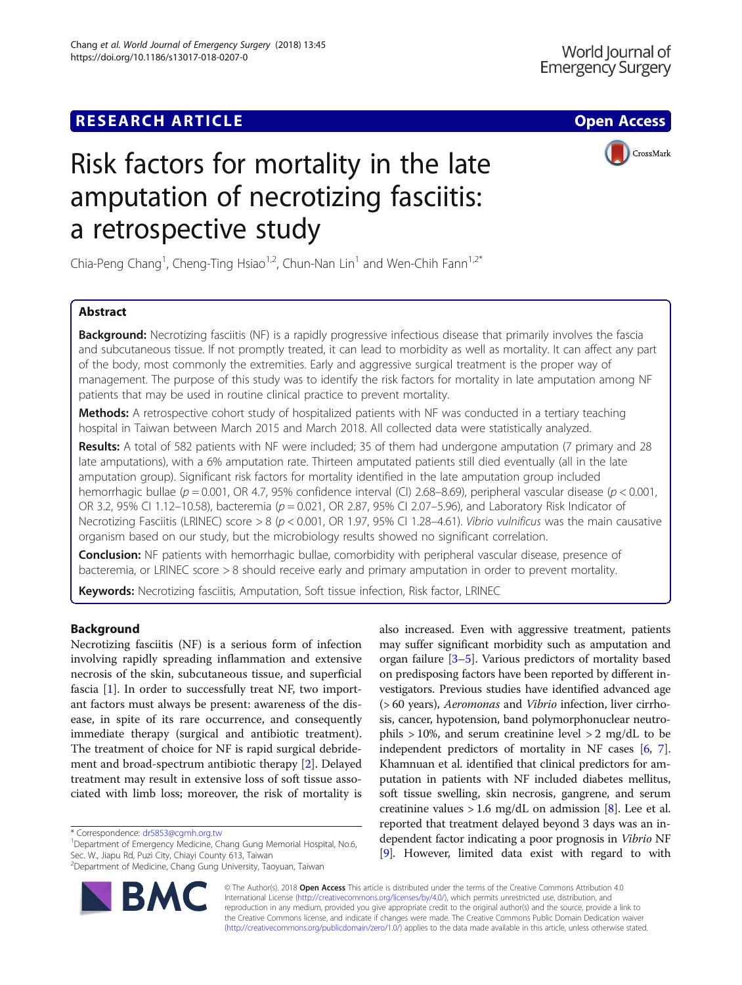## **RESEARCH ARTICLE Example 2014 12:30 The Contract of Contract ACCESS**



# Risk factors for mortality in the late amputation of necrotizing fasciitis: a retrospective study

Chia-Peng Chang<sup>1</sup>, Cheng-Ting Hsiao<sup>1,2</sup>, Chun-Nan Lin<sup>1</sup> and Wen-Chih Fann<sup>1,2\*</sup>

## Abstract

**Background:** Necrotizing fasciitis (NF) is a rapidly progressive infectious disease that primarily involves the fascia and subcutaneous tissue. If not promptly treated, it can lead to morbidity as well as mortality. It can affect any part of the body, most commonly the extremities. Early and aggressive surgical treatment is the proper way of management. The purpose of this study was to identify the risk factors for mortality in late amputation among NF patients that may be used in routine clinical practice to prevent mortality.

Methods: A retrospective cohort study of hospitalized patients with NF was conducted in a tertiary teaching hospital in Taiwan between March 2015 and March 2018. All collected data were statistically analyzed.

Results: A total of 582 patients with NF were included; 35 of them had undergone amputation (7 primary and 28 late amputations), with a 6% amputation rate. Thirteen amputated patients still died eventually (all in the late amputation group). Significant risk factors for mortality identified in the late amputation group included hemorrhagic bullae ( $p = 0.001$ , OR 4.7, 95% confidence interval (CI) 2.68–8.69), peripheral vascular disease ( $p < 0.001$ , OR 3.2, 95% CI 1.12-10.58), bacteremia (p = 0.021, OR 2.87, 95% CI 2.07-5.96), and Laboratory Risk Indicator of Necrotizing Fasciitis (LRINEC) score  $> 8$  ( $p < 0.001$ , OR 1.97, 95% CI 1.28-4.61). Vibrio vulnificus was the main causative organism based on our study, but the microbiology results showed no significant correlation.

**Conclusion:** NF patients with hemorrhagic bullae, comorbidity with peripheral vascular disease, presence of bacteremia, or LRINEC score > 8 should receive early and primary amputation in order to prevent mortality.

Keywords: Necrotizing fasciitis, Amputation, Soft tissue infection, Risk factor, LRINEC

## Background

Necrotizing fasciitis (NF) is a serious form of infection involving rapidly spreading inflammation and extensive necrosis of the skin, subcutaneous tissue, and superficial fascia [[1\]](#page-4-0). In order to successfully treat NF, two important factors must always be present: awareness of the disease, in spite of its rare occurrence, and consequently immediate therapy (surgical and antibiotic treatment). The treatment of choice for NF is rapid surgical debridement and broad-spectrum antibiotic therapy [[2\]](#page-4-0). Delayed treatment may result in extensive loss of soft tissue associated with limb loss; moreover, the risk of mortality is

<sup>1</sup>Department of Emergency Medicine, Chang Gung Memorial Hospital, No.6, Sec. W., Jiapu Rd, Puzi City, Chiayi County 613, Taiwan

<sup>2</sup> Department of Medicine, Chang Gung University, Taoyuan, Taiwan



also increased. Even with aggressive treatment, patients may suffer significant morbidity such as amputation and organ failure [[3](#page-4-0)–[5](#page-4-0)]. Various predictors of mortality based on predisposing factors have been reported by different investigators. Previous studies have identified advanced age (> 60 years), Aeromonas and Vibrio infection, liver cirrhosis, cancer, hypotension, band polymorphonuclear neutrophils  $> 10\%$ , and serum creatinine level  $> 2$  mg/dL to be independent predictors of mortality in NF cases [[6,](#page-4-0) [7](#page-4-0)]. Khamnuan et al. identified that clinical predictors for amputation in patients with NF included diabetes mellitus, soft tissue swelling, skin necrosis, gangrene, and serum creatinine values  $> 1.6$  mg/dL on admission [\[8](#page-4-0)]. Lee et al. reported that treatment delayed beyond 3 days was an independent factor indicating a poor prognosis in Vibrio NF [[9\]](#page-4-0). However, limited data exist with regard to with

© The Author(s). 2018 Open Access This article is distributed under the terms of the Creative Commons Attribution 4.0 International License [\(http://creativecommons.org/licenses/by/4.0/](http://creativecommons.org/licenses/by/4.0/)), which permits unrestricted use, distribution, and reproduction in any medium, provided you give appropriate credit to the original author(s) and the source, provide a link to the Creative Commons license, and indicate if changes were made. The Creative Commons Public Domain Dedication waiver [\(http://creativecommons.org/publicdomain/zero/1.0/](http://creativecommons.org/publicdomain/zero/1.0/)) applies to the data made available in this article, unless otherwise stated.

<sup>\*</sup> Correspondence: [dr5853@cgmh.org.tw](mailto:dr5853@cgmh.org.tw) <sup>1</sup>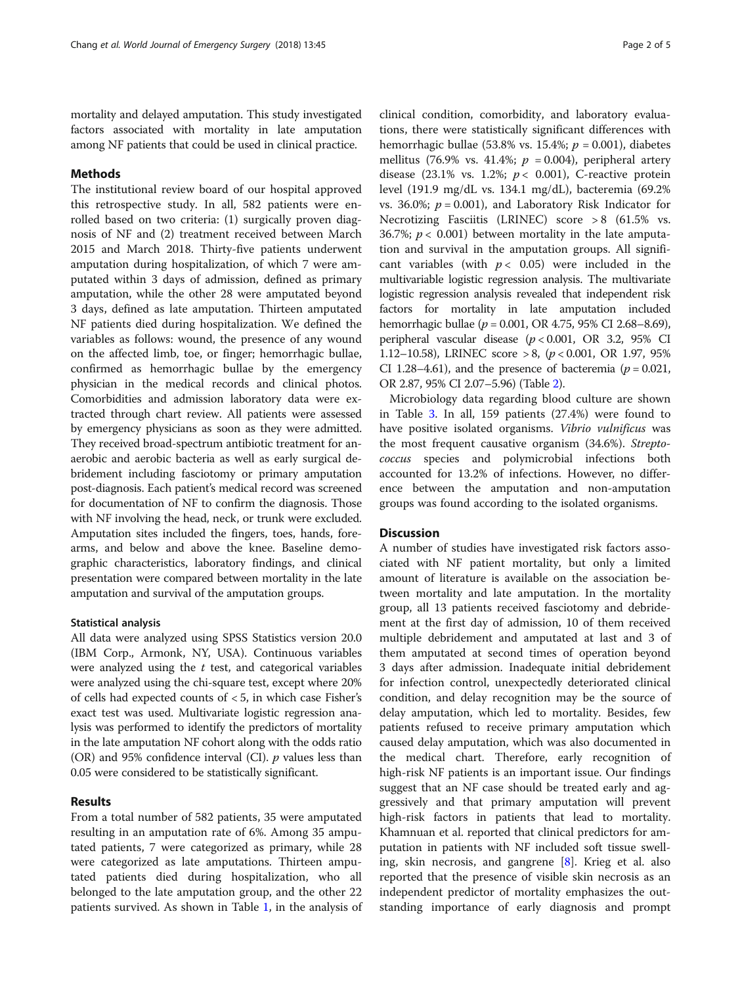mortality and delayed amputation. This study investigated factors associated with mortality in late amputation among NF patients that could be used in clinical practice.

## Methods

The institutional review board of our hospital approved this retrospective study. In all, 582 patients were enrolled based on two criteria: (1) surgically proven diagnosis of NF and (2) treatment received between March 2015 and March 2018. Thirty-five patients underwent amputation during hospitalization, of which 7 were amputated within 3 days of admission, defined as primary amputation, while the other 28 were amputated beyond 3 days, defined as late amputation. Thirteen amputated NF patients died during hospitalization. We defined the variables as follows: wound, the presence of any wound on the affected limb, toe, or finger; hemorrhagic bullae, confirmed as hemorrhagic bullae by the emergency physician in the medical records and clinical photos. Comorbidities and admission laboratory data were extracted through chart review. All patients were assessed by emergency physicians as soon as they were admitted. They received broad-spectrum antibiotic treatment for anaerobic and aerobic bacteria as well as early surgical debridement including fasciotomy or primary amputation post-diagnosis. Each patient's medical record was screened for documentation of NF to confirm the diagnosis. Those with NF involving the head, neck, or trunk were excluded. Amputation sites included the fingers, toes, hands, forearms, and below and above the knee. Baseline demographic characteristics, laboratory findings, and clinical presentation were compared between mortality in the late amputation and survival of the amputation groups.

#### Statistical analysis

All data were analyzed using SPSS Statistics version 20.0 (IBM Corp., Armonk, NY, USA). Continuous variables were analyzed using the  $t$  test, and categorical variables were analyzed using the chi-square test, except where 20% of cells had expected counts of < 5, in which case Fisher's exact test was used. Multivariate logistic regression analysis was performed to identify the predictors of mortality in the late amputation NF cohort along with the odds ratio (OR) and 95% confidence interval (CI).  $p$  values less than 0.05 were considered to be statistically significant.

## Results

From a total number of 582 patients, 35 were amputated resulting in an amputation rate of 6%. Among 35 amputated patients, 7 were categorized as primary, while 28 were categorized as late amputations. Thirteen amputated patients died during hospitalization, who all belonged to the late amputation group, and the other 22 patients survived. As shown in Table [1,](#page-2-0) in the analysis of

clinical condition, comorbidity, and laboratory evaluations, there were statistically significant differences with hemorrhagic bullae (53.8% vs. 15.4%;  $p = 0.001$ ), diabetes mellitus (76.9% vs. 41.4%;  $p = 0.004$ ), peripheral artery disease (23.1% vs. 1.2%;  $p < 0.001$ ), C-reactive protein level (191.9 mg/dL vs. 134.1 mg/dL), bacteremia (69.2% vs. 36.0%;  $p = 0.001$ ), and Laboratory Risk Indicator for Necrotizing Fasciitis (LRINEC) score  $> 8$  (61.5% vs. 36.7%;  $p < 0.001$ ) between mortality in the late amputation and survival in the amputation groups. All significant variables (with  $p < 0.05$ ) were included in the multivariable logistic regression analysis. The multivariate logistic regression analysis revealed that independent risk factors for mortality in late amputation included hemorrhagic bullae ( $p = 0.001$ , OR 4.75, 95% CI 2.68–8.69), peripheral vascular disease  $(p < 0.001, \text{ OR } 3.2, 95\% \text{ CI}$ 1.12–10.58), LRINEC score > 8,  $(p < 0.001, \text{ OR } 1.97, 95\%)$ CI 1.28–4.61), and the presence of bacteremia ( $p = 0.021$ , OR 2.87, 95% CI 2.07–5.96) (Table [2\)](#page-2-0).

Microbiology data regarding blood culture are shown in Table [3](#page-3-0). In all, 159 patients (27.4%) were found to have positive isolated organisms. Vibrio vulnificus was the most frequent causative organism (34.6%). Streptococcus species and polymicrobial infections both accounted for 13.2% of infections. However, no difference between the amputation and non-amputation groups was found according to the isolated organisms.

## **Discussion**

A number of studies have investigated risk factors associated with NF patient mortality, but only a limited amount of literature is available on the association between mortality and late amputation. In the mortality group, all 13 patients received fasciotomy and debridement at the first day of admission, 10 of them received multiple debridement and amputated at last and 3 of them amputated at second times of operation beyond 3 days after admission. Inadequate initial debridement for infection control, unexpectedly deteriorated clinical condition, and delay recognition may be the source of delay amputation, which led to mortality. Besides, few patients refused to receive primary amputation which caused delay amputation, which was also documented in the medical chart. Therefore, early recognition of high-risk NF patients is an important issue. Our findings suggest that an NF case should be treated early and aggressively and that primary amputation will prevent high-risk factors in patients that lead to mortality. Khamnuan et al. reported that clinical predictors for amputation in patients with NF included soft tissue swelling, skin necrosis, and gangrene [\[8](#page-4-0)]. Krieg et al. also reported that the presence of visible skin necrosis as an independent predictor of mortality emphasizes the outstanding importance of early diagnosis and prompt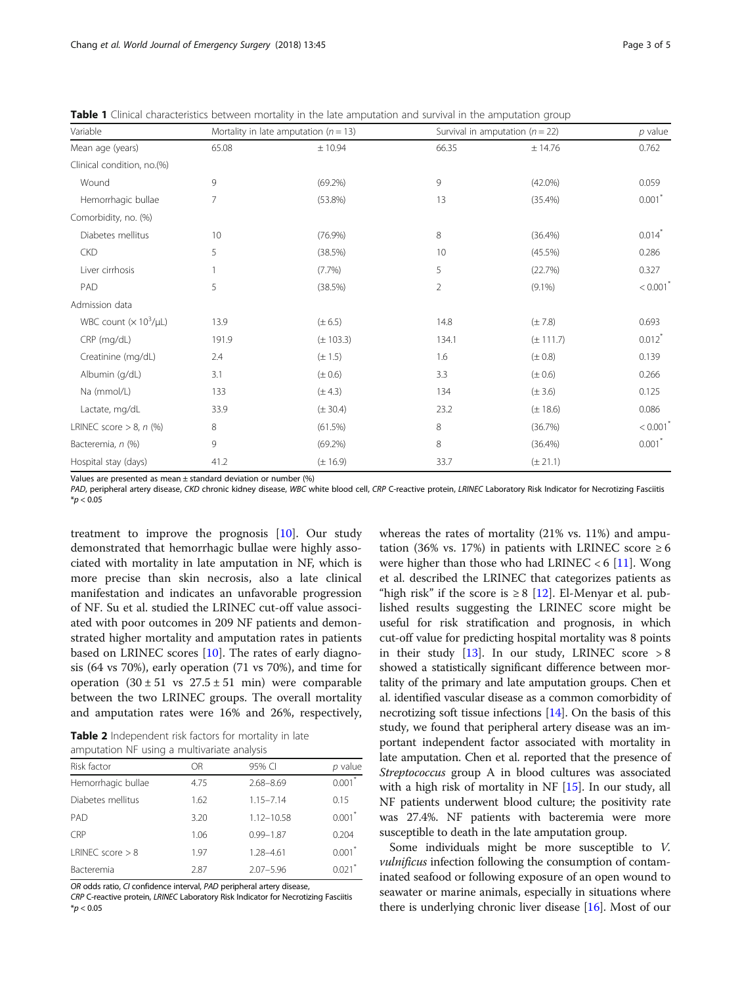<span id="page-2-0"></span>

|  |  | <b>Table 1</b> Clinical characteristics between mortality in the late amputation and survival in the amputation group |  |  |  |  |  |  |  |  |  |  |
|--|--|-----------------------------------------------------------------------------------------------------------------------|--|--|--|--|--|--|--|--|--|--|
|--|--|-----------------------------------------------------------------------------------------------------------------------|--|--|--|--|--|--|--|--|--|--|

| Variable                   |       | Mortality in late amputation ( $n = 13$ ) |       | Survival in amputation ( $n = 22$ ) | $p$ value              |
|----------------------------|-------|-------------------------------------------|-------|-------------------------------------|------------------------|
| Mean age (years)           | 65.08 | ± 10.94                                   | 66.35 | ± 14.76                             | 0.762                  |
| Clinical condition, no.(%) |       |                                           |       |                                     |                        |
| Wound                      | 9     | $(69.2\%)$                                | 9     | $(42.0\%)$                          | 0.059                  |
| Hemorrhagic bullae         | 7     | $(53.8\%)$                                | 13    | (35.4%)                             | $0.001$ <sup>*</sup>   |
| Comorbidity, no. (%)       |       |                                           |       |                                     |                        |
| Diabetes mellitus          | 10    | (76.9%)                                   | 8     | (36.4%)                             | $0.014$ <sup>*</sup>   |
| <b>CKD</b>                 | 5     | (38.5%)                                   | 10    | $(45.5\%)$                          | 0.286                  |
| Liver cirrhosis            |       | $(7.7\%)$                                 | 5     | (22.7%)                             | 0.327                  |
| PAD                        | 5     | (38.5%)                                   | 2     | $(9.1\%)$                           | $< 0.001$ <sup>*</sup> |
| Admission data             |       |                                           |       |                                     |                        |
| WBC count $(x 10^3/\mu L)$ | 13.9  | $(\pm 6.5)$                               | 14.8  | $(\pm 7.8)$                         | 0.693                  |
| CRP (mg/dL)                | 191.9 | $(\pm 103.3)$                             | 134.1 | $(\pm 111.7)$                       | $0.012$ <sup>*</sup>   |
| Creatinine (mg/dL)         | 2.4   | $(\pm 1.5)$                               | 1.6   | $(\pm 0.8)$                         | 0.139                  |
| Albumin (q/dL)             | 3.1   | $(\pm 0.6)$                               | 3.3   | $(\pm 0.6)$                         | 0.266                  |
| Na (mmol/L)                | 133   | $(\pm 4.3)$                               | 134   | $(\pm 3.6)$                         | 0.125                  |
| Lactate, mg/dL             | 33.9  | $(\pm 30.4)$                              | 23.2  | $(\pm 18.6)$                        | 0.086                  |
| LRINEC score $> 8$ , n (%) | 8     | (61.5%)                                   | 8     | (36.7%)                             | $< 0.001$ <sup>*</sup> |
| Bacteremia, n (%)          | 9     | $(69.2\%)$                                | 8     | (36.4%)                             | $0.001$ <sup>*</sup>   |
| Hospital stay (days)       | 41.2  | $(\pm 16.9)$                              | 33.7  | $(\pm 21.1)$                        |                        |

Values are presented as mean ± standard deviation or number (%)

PAD, peripheral artery disease, CKD chronic kidney disease, WBC white blood cell, CRP C-reactive protein, LRINEC Laboratory Risk Indicator for Necrotizing Fasciitis  $*p < 0.05$ 

treatment to improve the prognosis [[10](#page-4-0)]. Our study demonstrated that hemorrhagic bullae were highly associated with mortality in late amputation in NF, which is more precise than skin necrosis, also a late clinical manifestation and indicates an unfavorable progression of NF. Su et al. studied the LRINEC cut-off value associated with poor outcomes in 209 NF patients and demonstrated higher mortality and amputation rates in patients based on LRINEC scores [[10](#page-4-0)]. The rates of early diagnosis (64 vs 70%), early operation (71 vs 70%), and time for operation  $(30 \pm 51 \text{ vs } 27.5 \pm 51 \text{ min})$  were comparable between the two LRINEC groups. The overall mortality and amputation rates were 16% and 26%, respectively,

Table 2 Independent risk factors for mortality in late amputation NF using a multivariate analysis

| aniputation in using a multivanate analysis |                |                      |  |  |  |  |
|---------------------------------------------|----------------|----------------------|--|--|--|--|
| OR.                                         | 95% CI         | $p$ value            |  |  |  |  |
| 4.75                                        | $2.68 - 8.69$  | $0.001$ <sup>*</sup> |  |  |  |  |
| 1.62                                        | $1.15 - 7.14$  | 0.15                 |  |  |  |  |
| 3.20                                        | $1.12 - 10.58$ | 0.001                |  |  |  |  |
| 1.06                                        | $0.99 - 1.87$  | 0.204                |  |  |  |  |
| 1.97                                        | 1.28-4.61      | $0.001$ <sup>*</sup> |  |  |  |  |
| 2.87                                        | $2.07 - 5.96$  | 0.021                |  |  |  |  |
|                                             |                |                      |  |  |  |  |

OR odds ratio, CI confidence interval, PAD peripheral artery disease, CRP C-reactive protein, LRINEC Laboratory Risk Indicator for Necrotizing Fasciitis  $*$ *p* < 0.05

whereas the rates of mortality (21% vs. 11%) and amputation (36% vs. 17%) in patients with LRINEC score  $\geq 6$ were higher than those who had LRINEC  $<$  6 [\[11](#page-4-0)]. Wong et al. described the LRINEC that categorizes patients as "high risk" if the score is  $\geq 8$  [[12](#page-4-0)]. El-Menyar et al. published results suggesting the LRINEC score might be useful for risk stratification and prognosis, in which cut-off value for predicting hospital mortality was 8 points in their study  $[13]$ . In our study, LRINEC score > 8 showed a statistically significant difference between mortality of the primary and late amputation groups. Chen et al. identified vascular disease as a common comorbidity of necrotizing soft tissue infections [\[14\]](#page-4-0). On the basis of this study, we found that peripheral artery disease was an important independent factor associated with mortality in late amputation. Chen et al. reported that the presence of Streptococcus group A in blood cultures was associated with a high risk of mortality in NF [\[15](#page-4-0)]. In our study, all NF patients underwent blood culture; the positivity rate was 27.4%. NF patients with bacteremia were more susceptible to death in the late amputation group.

Some individuals might be more susceptible to V. *vulnificus* infection following the consumption of contaminated seafood or following exposure of an open wound to seawater or marine animals, especially in situations where there is underlying chronic liver disease [[16](#page-4-0)]. Most of our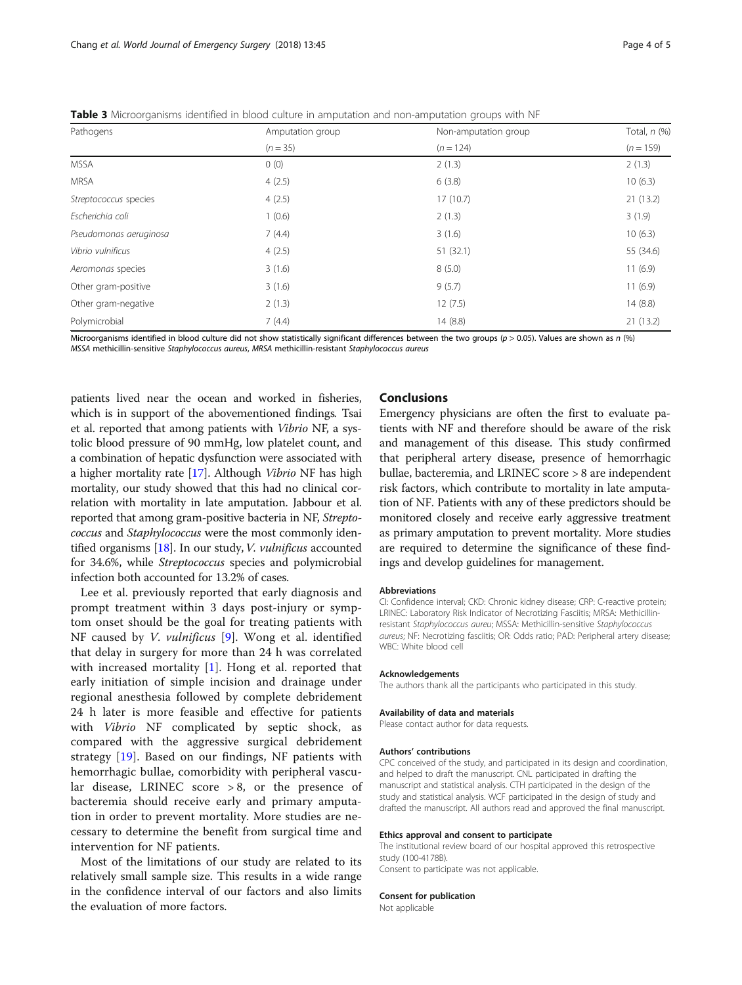| Pathogens              | Amputation group | Non-amputation group | Total, $n$ $(\%)$ |  |
|------------------------|------------------|----------------------|-------------------|--|
|                        | $(n = 35)$       | $(n = 124)$          | $(n = 159)$       |  |
| <b>MSSA</b>            | 0(0)             | 2(1.3)               | 2(1.3)            |  |
| <b>MRSA</b>            | 4(2.5)           | 6(3.8)               | 10(6.3)           |  |
| Streptococcus species  | 4(2.5)           | 17(10.7)             | 21(13.2)          |  |
| Escherichia coli       | 1(0.6)           | 2(1.3)               | 3(1.9)            |  |
| Pseudomonas aeruginosa | 7(4.4)           | 3(1.6)               | 10(6.3)           |  |
| Vibrio vulnificus      | 4(2.5)           | 51(32.1)             | 55 (34.6)         |  |
| Aeromonas species      | 3(1.6)           | 8(5.0)               | 11(6.9)           |  |
| Other gram-positive    | 3(1.6)           | 9(5.7)               | 11(6.9)           |  |
| Other gram-negative    | 2(1.3)           | 12(7.5)              | 14(8.8)           |  |
| Polymicrobial          | 7(4.4)           | 14(8.8)              | 21(13.2)          |  |

<span id="page-3-0"></span>Table 3 Microorganisms identified in blood culture in amputation and non-amputation groups with NF

Microorganisms identified in blood culture did not show statistically significant differences between the two groups (p > 0.05). Values are shown as n (%) MSSA methicillin-sensitive Staphylococcus aureus, MRSA methicillin-resistant Staphylococcus aureus

patients lived near the ocean and worked in fisheries, which is in support of the abovementioned findings. Tsai et al. reported that among patients with Vibrio NF, a systolic blood pressure of 90 mmHg, low platelet count, and a combination of hepatic dysfunction were associated with a higher mortality rate [\[17\]](#page-4-0). Although Vibrio NF has high mortality, our study showed that this had no clinical correlation with mortality in late amputation. Jabbour et al. reported that among gram-positive bacteria in NF, Streptococcus and Staphylococcus were the most commonly identified organisms  $[18]$  $[18]$ . In our study, *V. vulnificus* accounted for 34.6%, while Streptococcus species and polymicrobial infection both accounted for 13.2% of cases.

Lee et al. previously reported that early diagnosis and prompt treatment within 3 days post-injury or symptom onset should be the goal for treating patients with NF caused by *V. vulnificus* [[9\]](#page-4-0). Wong et al. identified that delay in surgery for more than 24 h was correlated with increased mortality [[1\]](#page-4-0). Hong et al. reported that early initiation of simple incision and drainage under regional anesthesia followed by complete debridement 24 h later is more feasible and effective for patients with Vibrio NF complicated by septic shock, as compared with the aggressive surgical debridement strategy [[19\]](#page-4-0). Based on our findings, NF patients with hemorrhagic bullae, comorbidity with peripheral vascular disease, LRINEC score  $> 8$ , or the presence of bacteremia should receive early and primary amputation in order to prevent mortality. More studies are necessary to determine the benefit from surgical time and intervention for NF patients.

Most of the limitations of our study are related to its relatively small sample size. This results in a wide range in the confidence interval of our factors and also limits the evaluation of more factors.

## Conclusions

Emergency physicians are often the first to evaluate patients with NF and therefore should be aware of the risk and management of this disease. This study confirmed that peripheral artery disease, presence of hemorrhagic bullae, bacteremia, and LRINEC score > 8 are independent risk factors, which contribute to mortality in late amputation of NF. Patients with any of these predictors should be monitored closely and receive early aggressive treatment as primary amputation to prevent mortality. More studies are required to determine the significance of these findings and develop guidelines for management.

#### Abbreviations

CI: Confidence interval; CKD: Chronic kidney disease; CRP: C-reactive protein; LRINEC: Laboratory Risk Indicator of Necrotizing Fasciitis; MRSA: Methicillinresistant Staphylococcus aureu; MSSA: Methicillin-sensitive Staphylococcus aureus; NF: Necrotizing fasciitis; OR: Odds ratio; PAD: Peripheral artery disease; WBC: White blood cell

#### Acknowledgements

The authors thank all the participants who participated in this study.

#### Availability of data and materials

Please contact author for data requests.

#### Authors' contributions

CPC conceived of the study, and participated in its design and coordination, and helped to draft the manuscript. CNL participated in drafting the manuscript and statistical analysis. CTH participated in the design of the study and statistical analysis. WCF participated in the design of study and drafted the manuscript. All authors read and approved the final manuscript.

#### Ethics approval and consent to participate

The institutional review board of our hospital approved this retrospective study (100-4178B).

Consent to participate was not applicable.

#### Consent for publication

Not applicable